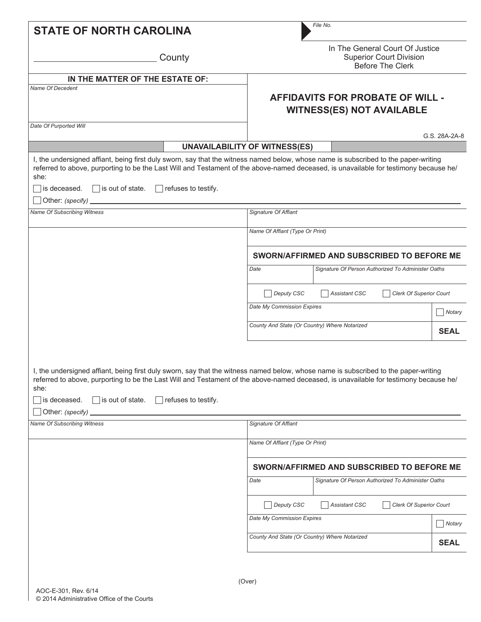| County                                                                                                     |                                                                                                                                                                                                                                                                              | In The General Court Of Justice<br><b>Superior Court Division</b><br><b>Before The Clerk</b> |  |  |
|------------------------------------------------------------------------------------------------------------|------------------------------------------------------------------------------------------------------------------------------------------------------------------------------------------------------------------------------------------------------------------------------|----------------------------------------------------------------------------------------------|--|--|
| IN THE MATTER OF THE ESTATE OF:                                                                            |                                                                                                                                                                                                                                                                              |                                                                                              |  |  |
| <b>Name Of Decedent</b>                                                                                    | <b>AFFIDAVITS FOR PROBATE OF WILL -</b><br><b>WITNESS(ES) NOT AVAILABLE</b>                                                                                                                                                                                                  |                                                                                              |  |  |
| Date Of Purported Will                                                                                     |                                                                                                                                                                                                                                                                              | G.S. 28A-2A-8                                                                                |  |  |
|                                                                                                            | <b>UNAVAILABILITY OF WITNESS(ES)</b>                                                                                                                                                                                                                                         |                                                                                              |  |  |
| she:<br>$\Box$ is deceased. $\Box$ is out of state.<br>$\Box$ refuses to testify.                          | I, the undersigned affiant, being first duly sworn, say that the witness named below, whose name is subscribed to the paper-writing<br>referred to above, purporting to be the Last Will and Testament of the above-named deceased, is unavailable for testimony because he/ |                                                                                              |  |  |
| Other: (specify) _                                                                                         |                                                                                                                                                                                                                                                                              |                                                                                              |  |  |
| <b>Name Of Subscribing Witness</b>                                                                         |                                                                                                                                                                                                                                                                              | Signature Of Affiant                                                                         |  |  |
|                                                                                                            | Name Of Affiant (Type Or Print)                                                                                                                                                                                                                                              |                                                                                              |  |  |
|                                                                                                            | SWORN/AFFIRMED AND SUBSCRIBED TO BEFORE ME                                                                                                                                                                                                                                   |                                                                                              |  |  |
|                                                                                                            | Signature Of Person Authorized To Administer Oaths<br>Date                                                                                                                                                                                                                   |                                                                                              |  |  |
|                                                                                                            | Deputy CSC<br><b>Assistant CSC</b>                                                                                                                                                                                                                                           | <b>Clerk Of Superior Court</b>                                                               |  |  |
|                                                                                                            | Date My Commission Expires                                                                                                                                                                                                                                                   | Notary                                                                                       |  |  |
|                                                                                                            |                                                                                                                                                                                                                                                                              |                                                                                              |  |  |
|                                                                                                            | County And State (Or Country) Where Notarized                                                                                                                                                                                                                                | <b>SEAL</b>                                                                                  |  |  |
| she:<br>$\Box$ refuses to testify.<br>$\Box$ is out of state.<br>$\Box$ is deceased.<br>Other: (specify) _ | I, the undersigned affiant, being first duly sworn, say that the witness named below, whose name is subscribed to the paper-writing<br>referred to above, purporting to be the Last Will and Testament of the above-named deceased, is unavailable for testimony because he/ |                                                                                              |  |  |
|                                                                                                            | Signature Of Affiant                                                                                                                                                                                                                                                         |                                                                                              |  |  |
|                                                                                                            | Name Of Affiant (Type Or Print)                                                                                                                                                                                                                                              |                                                                                              |  |  |
|                                                                                                            | SWORN/AFFIRMED AND SUBSCRIBED TO BEFORE ME                                                                                                                                                                                                                                   |                                                                                              |  |  |
|                                                                                                            | Signature Of Person Authorized To Administer Oaths<br>Date                                                                                                                                                                                                                   |                                                                                              |  |  |
|                                                                                                            | Deputy CSC<br><b>Assistant CSC</b>                                                                                                                                                                                                                                           | <b>Clerk Of Superior Court</b>                                                               |  |  |
| Name Of Subscribing Witness                                                                                | Date My Commission Expires                                                                                                                                                                                                                                                   | Notary                                                                                       |  |  |